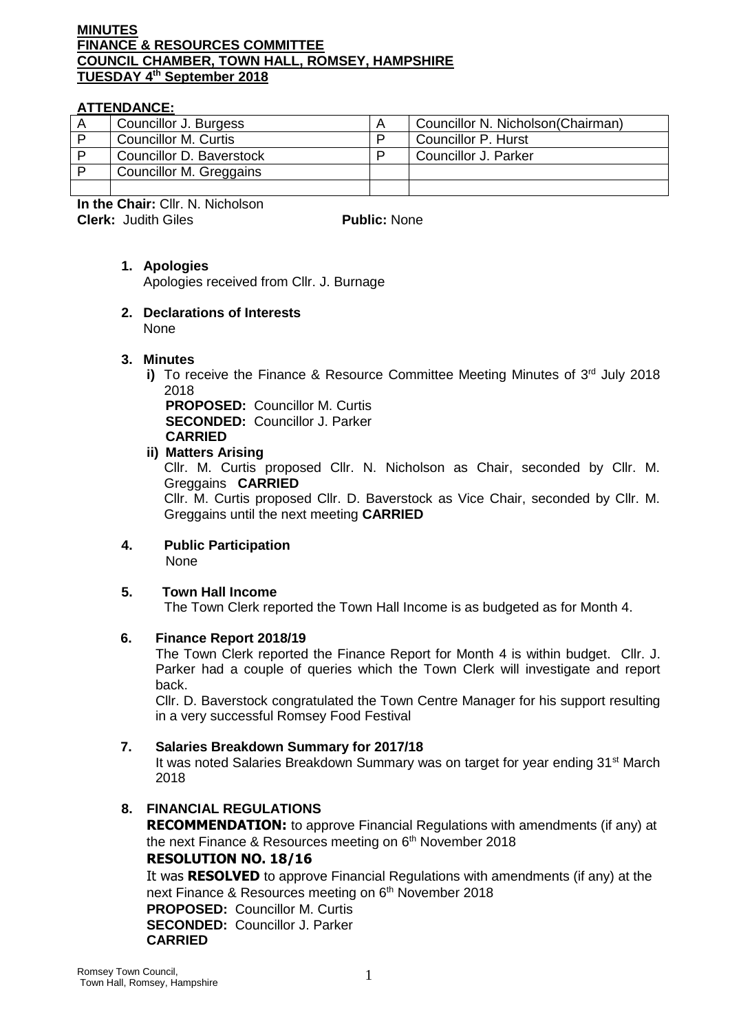#### **MINUTES FINANCE & RESOURCES COMMITTEE COUNCIL CHAMBER, TOWN HALL, ROMSEY, HAMPSHIRE TUESDAY 4 th September 2018**

# **ATTENDANCE:**

| Councillor J. Burgess       | Councillor N. Nicholson(Chairman) |
|-----------------------------|-----------------------------------|
| <b>Councillor M. Curtis</b> | Councillor P. Hurst               |
| Councillor D. Baverstock    | Councillor J. Parker              |
| Councillor M. Greggains     |                                   |
|                             |                                   |

**In the Chair:** Cllr. N. Nicholson **Clerk:** Judith Giles **Public:** None

# **1. Apologies**

Apologies received from Cllr. J. Burnage

#### **2. Declarations of Interests**  None

# **3. Minutes**

**i)** To receive the Finance & Resource Committee Meeting Minutes of 3<sup>rd</sup> July 2018 2018

**PROPOSED:** Councillor M. Curtis **SECONDED:** Councillor J. Parker **CARRIED**

#### **ii) Matters Arising**

Cllr. M. Curtis proposed Cllr. N. Nicholson as Chair, seconded by Cllr. M. Greggains **CARRIED**

Cllr. M. Curtis proposed Cllr. D. Baverstock as Vice Chair, seconded by Cllr. M. Greggains until the next meeting **CARRIED**

#### **4. Public Participation** None

# **5. Town Hall Income**

The Town Clerk reported the Town Hall Income is as budgeted as for Month 4.

# **6. Finance Report 2018/19**

The Town Clerk reported the Finance Report for Month 4 is within budget. Cllr. J. Parker had a couple of queries which the Town Clerk will investigate and report back.

Cllr. D. Baverstock congratulated the Town Centre Manager for his support resulting in a very successful Romsey Food Festival

# **7. Salaries Breakdown Summary for 2017/18**

It was noted Salaries Breakdown Summary was on target for year ending 31<sup>st</sup> March 2018

# **8. FINANCIAL REGULATIONS**

**RECOMMENDATION:** to approve Financial Regulations with amendments (if any) at the next Finance & Resources meeting on 6<sup>th</sup> November 2018

# **RESOLUTION NO. 18/16**

It was **RESOLVED** to approve Financial Regulations with amendments (if any) at the next Finance & Resources meeting on 6<sup>th</sup> November 2018 **PROPOSED:** Councillor M. Curtis **SECONDED:** Councillor J. Parker **CARRIED**